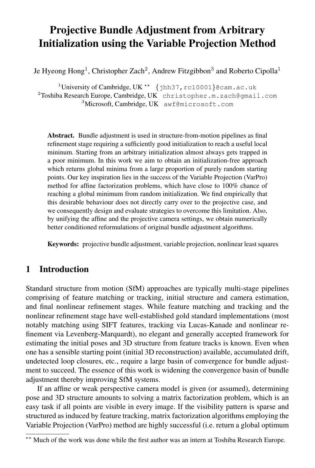# Projective Bundle Adjustment from Arbitrary Initialization using the Variable Projection Method

Je Hyeong Hong $^1$ , Christopher Zach $^2$ , Andrew Fitzgibbon $^3$  and Roberto Cipolla $^1$ 

<sup>1</sup>University of Cambridge, UK<sup>\*\*</sup> {jhh37,rc10001}@cam.ac.uk <sup>2</sup>Toshiba Research Europe, Cambridge, UK christopher.m.zach@gmail.com <sup>3</sup>Microsoft, Cambridge, UK awf@microsoft.com

Abstract. Bundle adjustment is used in structure-from-motion pipelines as final refinement stage requiring a sufficiently good initialization to reach a useful local mininum. Starting from an arbitrary initialization almost always gets trapped in a poor minimum. In this work we aim to obtain an initialization-free approach which returns global minima from a large proportion of purely random starting points. Our key inspiration lies in the success of the Variable Projection (VarPro) method for affine factorization problems, which have close to 100% chance of reaching a global minimum from random initialization. We find empirically that this desirable behaviour does not directly carry over to the projective case, and we consequently design and evaluate strategies to overcome this limitation. Also, by unifying the affine and the projective camera settings, we obtain numerically better conditioned reformulations of original bundle adjustment algorithms.

Keywords: projective bundle adjustment, variable projection, nonlinear least squares

# 1 Introduction

Standard structure from motion (SfM) approaches are typically multi-stage pipelines comprising of feature matching or tracking, initial structure and camera estimation, and final nonlinear refinement stages. While feature matching and tracking and the nonlinear refinement stage have well-established gold standard implementations (most notably matching using SIFT features, tracking via Lucas-Kanade and nonlinear refinement via Levenberg-Marquardt), no elegant and generally accepted framework for estimating the initial poses and 3D structure from feature tracks is known. Even when one has a sensible starting point (initial 3D reconstruction) available, accumulated drift, undetected loop closures, etc., require a large basin of convergence for bundle adjustment to succeed. The essence of this work is widening the convergence basin of bundle adjustment thereby improving SfM systems.

If an affine or weak perspective camera model is given (or assumed), determining pose and 3D structure amounts to solving a matrix factorization problem, which is an easy task if all points are visible in every image. If the visibility pattern is sparse and structured as induced by feature tracking, matrix factorization algorithms employing the Variable Projection (VarPro) method are highly successful (i.e. return a global optimum

<sup>\*\*</sup> Much of the work was done while the first author was an intern at Toshiba Research Europe.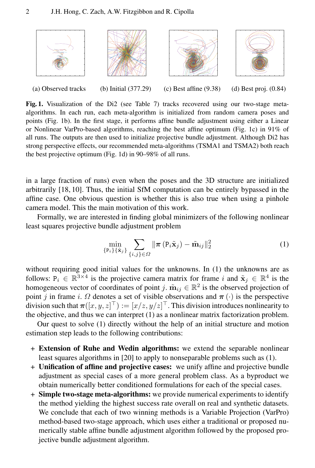

Fig. 1. Visualization of the Di2 (see Table 7) tracks recovered using our two-stage metaalgorithms. In each run, each meta-algorithm is initialized from random camera poses and points (Fig. 1b). In the first stage, it performs affine bundle adjustment using either a Linear or Nonlinear VarPro-based algorithms, reaching the best affine optimum (Fig. 1c) in 91% of all runs. The outputs are then used to initialize projective bundle adjustment. Although Di2 has strong perspective effects, our recommended meta-algorithms (TSMA1 and TSMA2) both reach the best projective optimum (Fig. 1d) in 90–98% of all runs.

in a large fraction of runs) even when the poses and the 3D structure are initialized arbitrarily [18, 10]. Thus, the initial SfM computation can be entirely bypassed in the affine case. One obvious question is whether this is also true when using a pinhole camera model. This the main motivation of this work.

Formally, we are interested in finding global minimizers of the following nonlinear least squares projective bundle adjustment problem

$$
\min_{\{\mathbf{P}_i\}\{\tilde{\mathbf{x}}_j\}} \sum_{\{i,j\} \in \Omega} \|\boldsymbol{\pi}\left(\mathbf{P}_i \tilde{\mathbf{x}}_j\right) - \tilde{\mathbf{m}}_{ij}\|_2^2 \tag{1}
$$

without requiring good initial values for the unknowns. In (1) the unknowns are as follows:  $P_i \in \mathbb{R}^{3 \times 4}$  is the projective camera matrix for frame i and  $\tilde{\mathbf{x}}_j \in \mathbb{R}^4$  is the homogeneous vector of coordinates of point j.  $\tilde{m}_{ij} \in \mathbb{R}^2$  is the observed projection of point j in frame i.  $\Omega$  denotes a set of visible observations and  $\pi(\cdot)$  is the perspective division such that  $\bm{\pi}([x,y,z]^\top) := [x/z, y/z]^\top$ . This division introduces nonlinearity to the objective, and thus we can interpret (1) as a nonlinear matrix factorization problem.

Our quest to solve (1) directly without the help of an initial structure and motion estimation step leads to the following contributions:

- + Extension of Ruhe and Wedin algorithms: we extend the separable nonlinear least squares algorithms in [20] to apply to nonseparable problems such as (1).
- + Unification of affine and projective cases: we unify affine and projective bundle adjustment as special cases of a more general problem class. As a byproduct we obtain numerically better conditioned formulations for each of the special cases.
- + Simple two-stage meta-algorithms: we provide numerical experiments to identify the method yielding the highest success rate overall on real and synthetic datasets. We conclude that each of two winning methods is a Variable Projection (VarPro) method-based two-stage approach, which uses either a traditional or proposed numerically stable affine bundle adjustment algorithm followed by the proposed projective bundle adjustment algorithm.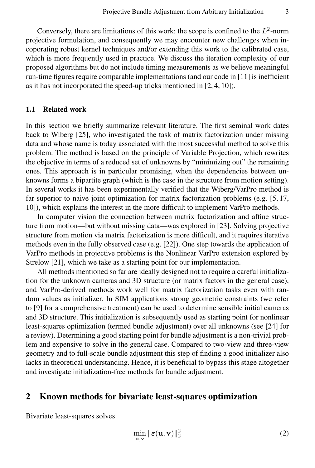Conversely, there are limitations of this work: the scope is confined to the  $L^2$ -norm projective formulation, and consequently we may encounter new challenges when incoporating robust kernel techniques and/or extending this work to the calibrated case, which is more frequently used in practice. We discuss the iteration complexity of our proposed algorithms but do not include timing measurements as we believe meaningful run-time figures require comparable implementations (and our code in [11] is inefficient as it has not incorporated the speed-up tricks mentioned in [2, 4, 10]).

#### 1.1 Related work

In this section we briefly summarize relevant literature. The first seminal work dates back to Wiberg [25], who investigated the task of matrix factorization under missing data and whose name is today associated with the most successful method to solve this problem. The method is based on the principle of Variable Projection, which rewrites the objective in terms of a reduced set of unknowns by "minimizing out" the remaining ones. This approach is in particular promising, when the dependencies between unknowns forms a bipartite graph (which is the case in the structure from motion setting). In several works it has been experimentally verified that the Wiberg/VarPro method is far superior to naive joint optimization for matrix factorization problems (e.g. [5, 17, 10]), which explains the interest in the more difficult to implement VarPro methods.

In computer vision the connection between matrix factorization and affine structure from motion—but without missing data—was explored in [23]. Solving projective structure from motion via matrix factorization is more difficult, and it requires iterative methods even in the fully observed case (e.g. [22]). One step towards the application of VarPro methods in projective problems is the Nonlinear VarPro extension explored by Strelow [21], which we take as a starting point for our implementation.

All methods mentioned so far are ideally designed not to require a careful initialization for the unknown cameras and 3D structure (or matrix factors in the general case), and VarPro-derived methods work well for matrix factorization tasks even with random values as initializer. In SfM applications strong geometric constraints (we refer to [9] for a comprehensive treatment) can be used to determine sensible initial cameras and 3D structure. This initialization is subsequently used as starting point for nonlinear least-squares optimization (termed bundle adjustment) over all unknowns (see [24] for a review). Determining a good starting point for bundle adjustment is a non-trivial problem and expensive to solve in the general case. Compared to two-view and three-view geometry and to full-scale bundle adjustment this step of finding a good initializer also lacks in theoretical understanding. Hence, it is beneficial to bypass this stage altogether and investigate initialization-free methods for bundle adjustment.

## 2 Known methods for bivariate least-squares optimization

Bivariate least-squares solves

$$
\min_{\mathbf{u},\mathbf{v}} \|\boldsymbol{\varepsilon}(\mathbf{u},\mathbf{v})\|_2^2
$$
 (2)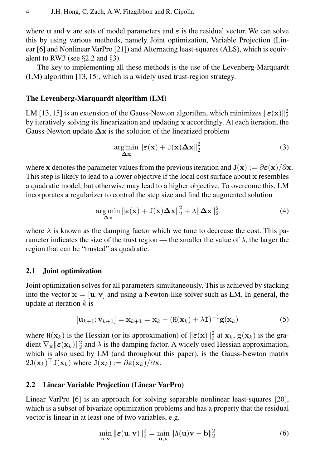where u and v are sets of model parameters and  $\varepsilon$  is the residual vector. We can solve this by using various methods, namely Joint optimization, Variable Projection (Linear [6] and Nonlinear VarPro [21]) and Alternating least-squares (ALS), which is equivalent to RW3 (see  $\S 2.2$  and  $\S 3$ ).

The key to implementing all these methods is the use of the Levenberg-Marquardt (LM) algorithm [13, 15], which is a widely used trust-region strategy.

### The Levenberg-Marquardt algorithm (LM)

LM [13, 15] is an extension of the Gauss-Newton algorithm, which minimizes  $\|\epsilon(\mathbf{x})\|_2^2$ by iteratively solving its linearization and updating x accordingly. At each iteration, the Gauss-Newton update  $\Delta x$  is the solution of the linearized problem

$$
\underset{\Delta \mathbf{x}}{\arg \min} \left\| \boldsymbol{\varepsilon}(\mathbf{x}) + \mathbf{J}(\mathbf{x}) \Delta \mathbf{x} \right\|_{2}^{2} \tag{3}
$$

where x denotes the parameter values from the previous iteration and  $J(x) := \partial \varepsilon(x)/\partial x$ . This step is likely to lead to a lower objective if the local cost surface about x resembles a quadratic model, but otherwise may lead to a higher objective. To overcome this, LM incorporates a regularizer to control the step size and find the augmented solution

$$
\underset{\Delta \mathbf{x}}{\arg \min} \|\boldsymbol{\varepsilon}(\mathbf{x}) + \mathbf{J}(\mathbf{x})\Delta \mathbf{x}\|_{2}^{2} + \lambda \|\Delta \mathbf{x}\|_{2}^{2}
$$
(4)

where  $\lambda$  is known as the damping factor which we tune to decrease the cost. This parameter indicates the size of the trust region — the smaller the value of  $\lambda$ , the larger the region that can be "trusted" as quadratic.

### 2.1 Joint optimization

Joint optimization solves for all parameters simultaneously. This is achieved by stacking into the vector  $\mathbf{x} = [\mathbf{u}; \mathbf{v}]$  and using a Newton-like solver such as LM. In general, the update at iteration  $k$  is

$$
[\mathbf{u}_{k+1}; \mathbf{v}_{k+1}] = \mathbf{x}_{k+1} = \mathbf{x}_k - (\mathbf{H}(\mathbf{x}_k) + \lambda \mathbf{I})^{-1} \mathbf{g}(\mathbf{x}_k)
$$
(5)

where  $H(\mathbf{x}_k)$  is the Hessian (or its approximation) of  $\|\boldsymbol{\varepsilon}(\mathbf{x})\|_2^2$  at  $\mathbf{x}_k$ ,  $\mathbf{g}(\mathbf{x}_k)$  is the gradient  $\nabla_{\mathbf{x}} || \boldsymbol{\varepsilon}(\mathbf{x}_k) ||_2^2$  and  $\lambda$  is the damping factor. A widely used Hessian approximation, which is also used by LM (and throughout this paper), is the Gauss-Newton matrix  $2J(\mathbf{x}_k)^\top J(\mathbf{x}_k)$  where  $J(\mathbf{x}_k) := \partial \varepsilon(\mathbf{x}_k) / \partial \mathbf{x}$ .

### 2.2 Linear Variable Projection (Linear VarPro)

Linear VarPro [6] is an approach for solving separable nonlinear least-squares [20], which is a subset of bivariate optimization problems and has a property that the residual vector is linear in at least one of two variables, e.g.

$$
\min_{\mathbf{u},\mathbf{v}} \|\boldsymbol{\varepsilon}(\mathbf{u},\mathbf{v})\|_2^2 = \min_{\mathbf{u},\mathbf{v}} \|\mathbf{A}(\mathbf{u})\mathbf{v} - \mathbf{b}\|_2^2 \tag{6}
$$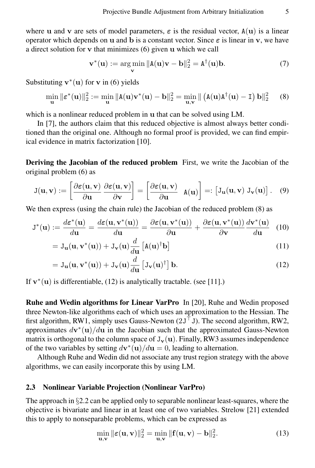where **u** and **v** are sets of model parameters,  $\varepsilon$  is the residual vector,  $A(u)$  is a linear operator which depends on u and b is a constant vector. Since  $\varepsilon$  is linear in v, we have a direct solution for v that minimizes (6) given u which we call

$$
\mathbf{v}^*(\mathbf{u}) := \underset{\mathbf{v}}{\arg\min} \|\mathbf{A}(\mathbf{u})\mathbf{v} - \mathbf{b}\|_2^2 = \mathbf{A}^\dagger(\mathbf{u})\mathbf{b}.\tag{7}
$$

Substituting  $\mathbf{v}^*(\mathbf{u})$  for  $\mathbf{v}$  in (6) yields

$$
\min_{\mathbf{u}} \|\boldsymbol{\varepsilon}^*(\mathbf{u})\|_2^2 := \min_{\mathbf{u}} \|\mathbf{A}(\mathbf{u})\mathbf{v}^*(\mathbf{u}) - \mathbf{b}\|_2^2 = \min_{\mathbf{u},\mathbf{v}} \|\left(\mathbf{A}(\mathbf{u})\mathbf{A}^\dagger(\mathbf{u}) - \mathbf{I}\right)\mathbf{b}\|_2^2 \tag{8}
$$

which is a nonlinear reduced problem in u that can be solved using LM.

In [7], the authors claim that this reduced objective is almost always better conditioned than the original one. Although no formal proof is provided, we can find empirical evidence in matrix factorization [10].

Deriving the Jacobian of the reduced problem First, we write the Jacobian of the original problem (6) as

$$
J(\mathbf{u}, \mathbf{v}) := \left[\frac{\partial \varepsilon(\mathbf{u}, \mathbf{v})}{\partial \mathbf{u}} \frac{\partial \varepsilon(\mathbf{u}, \mathbf{v})}{\partial \mathbf{v}}\right] = \left[\frac{\partial \varepsilon(\mathbf{u}, \mathbf{v})}{\partial \mathbf{u}} \mathbf{A}(\mathbf{u})\right] =: \left[J_{\mathbf{u}}(\mathbf{u}, \mathbf{v}) \mathbf{J}_{\mathbf{v}}(\mathbf{u})\right]. \quad (9)
$$

We then express (using the chain rule) the Jacobian of the reduced problem (8) as

$$
J^*(\mathbf{u}) := \frac{d\varepsilon^*(\mathbf{u})}{d\mathbf{u}} = \frac{d\varepsilon(\mathbf{u}, \mathbf{v}^*(\mathbf{u}))}{d\mathbf{u}} = \frac{\partial \varepsilon(\mathbf{u}, \mathbf{v}^*(\mathbf{u}))}{\partial \mathbf{u}} + \frac{\partial \varepsilon(\mathbf{u}, \mathbf{v}^*(\mathbf{u}))}{\partial \mathbf{v}} \frac{d\mathbf{v}^*(\mathbf{u})}{d\mathbf{u}} \tag{10}
$$

$$
= J_{\mathbf{u}}(\mathbf{u}, \mathbf{v}^*(\mathbf{u})) + J_{\mathbf{v}}(\mathbf{u}) \frac{d}{d\mathbf{u}} \left[ A(\mathbf{u})^\dagger \mathbf{b} \right]
$$
(11)

$$
= J_{\mathbf{u}}(\mathbf{u}, \mathbf{v}^*(\mathbf{u})) + J_{\mathbf{v}}(\mathbf{u}) \frac{d}{d\mathbf{u}} \left[ J_{\mathbf{v}}(\mathbf{u})^\dagger \right] \mathbf{b}.
$$
 (12)

If  $v^*(u)$  is differentiable, (12) is analytically tractable. (see [11].)

Ruhe and Wedin algorithms for Linear VarPro In [20], Ruhe and Wedin proposed three Newton-like algorithms each of which uses an approximation to the Hessian. The first algorithm, RW1, simply uses Gauss-Newton  $(2J<sup>T</sup> J)$ . The second algorithm, RW2, approximates  $d\mathbf{v}^*(\mathbf{u})/d\mathbf{u}$  in the Jacobian such that the approximated Gauss-Newton matrix is orthogonal to the column space of  $J_v(u)$ . Finally, RW3 assumes independence of the two variables by setting  $d\mathbf{v}^*(\mathbf{u})/d\mathbf{u} = 0$ , leading to alternation.

Although Ruhe and Wedin did not associate any trust region strategy with the above algorithms, we can easily incorporate this by using LM.

### 2.3 Nonlinear Variable Projection (Nonlinear VarPro)

The approach in  $\S 2.2$  can be applied only to separable nonlinear least-squares, where the objective is bivariate and linear in at least one of two variables. Strelow [21] extended this to apply to nonseparable problems, which can be expressed as

$$
\min_{\mathbf{u},\mathbf{v}} \|\boldsymbol{\varepsilon}(\mathbf{u},\mathbf{v})\|_2^2 = \min_{\mathbf{u},\mathbf{v}} \|\mathbf{f}(\mathbf{u},\mathbf{v}) - \mathbf{b}\|_2^2.
$$
 (13)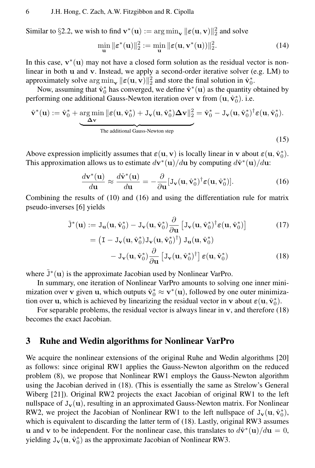Similar to §2.2, we wish to find  $\mathbf{v}^*(\mathbf{u}) := \arg \min_{\mathbf{v}} ||\boldsymbol{\varepsilon}(\mathbf{u}, \mathbf{v})||_2^2$  and solve

$$
\min_{\mathbf{u}} \|\boldsymbol{\varepsilon}^*(\mathbf{u})\|_2^2 := \min_{\mathbf{u}} \|\boldsymbol{\varepsilon}(\mathbf{u}, \mathbf{v}^*(\mathbf{u}))\|_2^2. \tag{14}
$$

In this case,  $\mathbf{v}^*(\mathbf{u})$  may not have a closed form solution as the residual vector is nonlinear in both u and v. Instead, we apply a second-order iterative solver (e.g. LM) to approximately solve  $\arg \min_{\mathbf{v}} ||\boldsymbol{\varepsilon}(\mathbf{u}, \mathbf{v})||_2^2$  and store the final solution in  $\hat{\mathbf{v}}_0^*$ .

Now, assuming that  $\hat{\mathbf{v}}_0^*$  has converged, we define  $\hat{\mathbf{v}}^*(\mathbf{u})$  as the quantity obtained by performing one additional Gauss-Newton iteration over  $\bf{v}$  from  $(\bf{u}, \hat{\bf{v}}_0^*)$ . i.e.

$$
\hat{\mathbf{v}}^*(\mathbf{u}) := \hat{\mathbf{v}}_0^* + \underbrace{\argmin\limits_{\Delta \mathbf{v}}\|\boldsymbol{\varepsilon}(\mathbf{u}, \hat{\mathbf{v}}_0^*) + J_\mathbf{v}(\mathbf{u}, \hat{\mathbf{v}}_0^*)\Delta \mathbf{v}\|_2^2}_{\text{The additional Gauss-Newton step}} = \hat{\mathbf{v}}_0^* - J_\mathbf{v}(\mathbf{u}, \hat{\mathbf{v}}_0^*)^\dagger \boldsymbol{\varepsilon}(\mathbf{u}, \hat{\mathbf{v}}_0^*).
$$

Above expression implicitly assumes that  $\varepsilon(\mathbf{u}, \mathbf{v})$  is locally linear in v about  $\varepsilon(\mathbf{u}, \hat{\mathbf{v}}_0^*)$ . This approximation allows us to estimate  $d\mathbf{v}^*(\mathbf{u})/d\mathbf{u}$  by computing  $d\hat{\mathbf{v}}^*(\mathbf{u})/d\mathbf{u}$ :

$$
\frac{d\mathbf{v}^*(\mathbf{u})}{d\mathbf{u}} \approx \frac{d\hat{\mathbf{v}}^*(\mathbf{u})}{d\mathbf{u}} = -\frac{\partial}{\partial \mathbf{u}} [\mathbf{J}_\mathbf{v}(\mathbf{u}, \hat{\mathbf{v}}_0^*)^\dagger \boldsymbol{\varepsilon}(\mathbf{u}, \hat{\mathbf{v}}_0^*)]. \tag{16}
$$

(15)

Combining the results of (10) and (16) and using the differentiation rule for matrix pseudo-inverses [6] yields

$$
\tilde{\mathbf{J}}^*(\mathbf{u}) := \mathbf{J}_{\mathbf{u}}(\mathbf{u}, \hat{\mathbf{v}}_0^*) - \mathbf{J}_{\mathbf{v}}(\mathbf{u}, \hat{\mathbf{v}}_0^*) \frac{\partial}{\partial \mathbf{u}} \left[ \mathbf{J}_{\mathbf{v}}(\mathbf{u}, \hat{\mathbf{v}}_0^*)^\dagger \boldsymbol{\varepsilon}(\mathbf{u}, \hat{\mathbf{v}}_0^*) \right] \tag{17}
$$

$$
= \left(\mathbf{I} - \mathbf{J}_{\mathbf{v}}(\mathbf{u}, \hat{\mathbf{v}}_0^*) \mathbf{J}_{\mathbf{v}}(\mathbf{u}, \hat{\mathbf{v}}_0^*)^\dagger\right) \mathbf{J}_{\mathbf{u}}(\mathbf{u}, \hat{\mathbf{v}}_0^*)
$$

$$
- \mathbf{J}_{\mathbf{v}}(\mathbf{u}, \hat{\mathbf{v}}_0^*) \frac{\partial}{\partial \mathbf{u}} \left[\mathbf{J}_{\mathbf{v}}(\mathbf{u}, \hat{\mathbf{v}}_0^*)^\dagger\right] \varepsilon(\mathbf{u}, \hat{\mathbf{v}}_0^*)
$$
(18)

where  $\tilde{J}^*(u)$  is the approximate Jacobian used by Nonlinear VarPro.

In summary, one iteration of Nonlinear VarPro amounts to solving one inner minimization over v given u, which outputs  $\hat{\mathbf{v}}_0^* \approx \mathbf{v}^*(\mathbf{u})$ , followed by one outer minimization over **u**, which is achieved by linearizing the residual vector in **v** about  $\varepsilon(\mathbf{u}, \hat{\mathbf{v}}_0^*)$ .

For separable problems, the residual vector is always linear in v, and therefore (18) becomes the exact Jacobian.

### 3 Ruhe and Wedin algorithms for Nonlinear VarPro

We acquire the nonlinear extensions of the original Ruhe and Wedin algorithms [20] as follows: since original RW1 applies the Gauss-Newton algorithm on the reduced problem (8), we propose that Nonlinear RW1 employs the Gauss-Newton algorithm using the Jacobian derived in (18). (This is essentially the same as Strelow's General Wiberg [21]). Original RW2 projects the exact Jacobian of original RW1 to the left nullspace of  $J_{\mathbf{v}}(\mathbf{u})$ , resulting in an approximated Gauss-Newton matrix. For Nonlinear RW2, we project the Jacobian of Nonlinear RW1 to the left nullspace of  $J_v(u, \hat{v}_0^*)$ , which is equivalent to discarding the latter term of (18). Lastly, original RW3 assumes u and v to be independent. For the nonlinear case, this translates to  $d\hat{\mathbf{v}}^*(\mathbf{u})/d\mathbf{u} = 0$ , yielding  $J_v(u, \hat{v}_0^*)$  as the approximate Jacobian of Nonlinear RW3.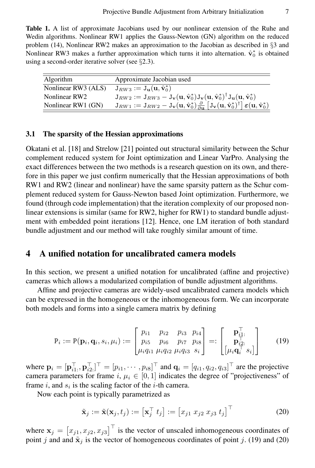Table 1. A list of approximate Jacobians used by our nonlinear extension of the Ruhe and Wedin algorithms. Nonlinear RW1 applies the Gauss-Newton (GN) algorithm on the reduced problem (14), Nonlinear RW2 makes an approximation to the Jacobian as described in §3 and Nonlinear RW3 makes a further approximation which turns it into alternation.  $\hat{v}_0^*$  is obtained using a second-order iterative solver (see  $\S 2.3$ ).

| Algorithm           | Approximate Jacobian used                                                                                                                                                                                                                                                             |
|---------------------|---------------------------------------------------------------------------------------------------------------------------------------------------------------------------------------------------------------------------------------------------------------------------------------|
| Nonlinear RW3 (ALS) | $J_{RW3} := J_{\mathbf{u}}(\mathbf{u}, \hat{\mathbf{v}}_0^*)$                                                                                                                                                                                                                         |
| Nonlinear RW2       | $J_{RW2} := J_{RW3} - J_{\mathbf{v}}(\mathbf{u}, \hat{\mathbf{v}}_0^*) J_{\mathbf{v}}(\mathbf{u}, \hat{\mathbf{v}}_0^*)^{\dagger} J_{\mathbf{u}}(\mathbf{u}, \hat{\mathbf{v}}_0^*)$                                                                                                   |
| Nonlinear RW1 (GN)  | $\mathbf{J}_{RW1} := \mathbf{J}_{RW2} - \mathbf{J}_{\mathbf{v}}(\mathbf{u}, \hat{\mathbf{v}}_0^*) \frac{\partial}{\partial \mathbf{u}} \left[ \mathbf{J}_{\mathbf{v}}(\mathbf{u}, \hat{\mathbf{v}}_0^*)^{\dagger} \right] \boldsymbol{\varepsilon}(\mathbf{u}, \hat{\mathbf{v}}_0^*)$ |

#### 3.1 The sparsity of the Hessian approximations

Okatani et al. [18] and Strelow [21] pointed out structural similarity between the Schur complement reduced system for Joint optimization and Linear VarPro. Analysing the exact differences between the two methods is a research question on its own, and therefore in this paper we just confirm numerically that the Hessian approximations of both RW1 and RW2 (linear and nonlinear) have the same sparsity pattern as the Schur complement reduced system for Gauss-Newton based Joint optimization. Furthermore, we found (through code implementation) that the iteration complexity of our proposed nonlinear extensions is similar (same for RW2, higher for RW1) to standard bundle adjustment with embedded point iterations [12]. Hence, one LM iteration of both standard bundle adjustment and our method will take roughly similar amount of time.

### 4 A unified notation for uncalibrated camera models

In this section, we present a unified notation for uncalibrated (affine and projective) cameras which allows a modularized compilation of bundle adjustment algorithms.

Affine and projective cameras are widely-used uncalibrated camera models which can be expressed in the homogeneous or the inhomogeneous form. We can incorporate both models and forms into a single camera matrix by defining

$$
P_i := P(\mathbf{p}_i, \mathbf{q}_i, s_i, \mu_i) := \begin{bmatrix} p_{i1} & p_{i2} & p_{i3} & p_{i4} \\ p_{i5} & p_{i6} & p_{i7} & p_{i8} \\ \mu_i q_{i1} & \mu_i q_{i2} & \mu_i q_{i3} & s_i \end{bmatrix} =: \begin{bmatrix} \mathbf{p}_{i1}^{\top} \\ \mathbf{p}_{i2}^{\top} \\ \mu_i \mathbf{q}_i^{\top} \\ s_i \end{bmatrix}
$$
(19)

where  $\mathbf{p}_i = [\mathbf{p}_{i1}^\top, \mathbf{p}_{i2}^\top]^\top = [p_{i1}, \cdots, p_{i8}]^\top$  and  $\mathbf{q}_i = [q_{i1}, q_{i2}, q_{i3}]^\top$  are the projective camera parameters for frame i,  $\mu_i \in [0, 1]$  indicates the degree of "projectiveness" of frame  $i$ , and  $s_i$  is the scaling factor of the  $i$ -th camera.

Now each point is typically parametrized as

$$
\tilde{\mathbf{x}}_j := \tilde{\mathbf{x}}(\mathbf{x}_j, t_j) := \left[\mathbf{x}_j^\top t_j\right] := \left[x_{j1} \; x_{j2} \; x_{j3} \; t_j\right]^\top \tag{20}
$$

where  $\mathbf{x}_j = \begin{bmatrix} x_{j1}, x_{j2}, x_{j3} \end{bmatrix}^\top$  is the vector of unscaled inhomogeneous coordinates of point j and and  $\tilde{\mathbf{x}}_i$  is the vector of homogeneous coordinates of point j. (19) and (20)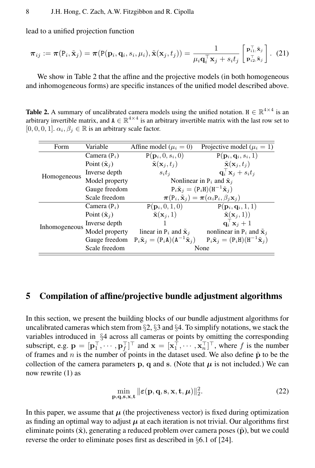lead to a unified projection function

$$
\boldsymbol{\pi}_{ij} := \boldsymbol{\pi}(\mathbf{P}_i, \tilde{\mathbf{x}}_j) = \boldsymbol{\pi}(\mathbf{P}(\mathbf{p}_i, \mathbf{q}_i, s_i, \mu_i), \tilde{\mathbf{x}}(\mathbf{x}_j, t_j)) = \frac{1}{\mu_i \mathbf{q}_i^{\top} \mathbf{x}_j + s_i t_j} \begin{bmatrix} \mathbf{p}_{i1}^{\top}, \tilde{\mathbf{x}}_j \\ \mathbf{p}_{i2}^{\top}, \tilde{\mathbf{x}}_j \end{bmatrix} . (21)
$$

We show in Table 2 that the affine and the projective models (in both homogeneous and inhomogeneous forms) are specific instances of the unified model described above.

**Table 2.** A summary of uncalibrated camera models using the unified notation.  $H \in \mathbb{R}^{4 \times 4}$  is an arbitrary invertible matrix, and  $A \in \mathbb{R}^{4 \times 4}$  is an arbitrary invertible matrix with the last row set to [0, 0, 0, 1].  $\alpha_i, \beta_j \in \mathbb{R}$  is an arbitrary scale factor.

| Variable<br>Form |                                | Affine model ( $\mu_i = 0$ )                                                     | Projective model ( $\mu_i = 1$ )                               |  |
|------------------|--------------------------------|----------------------------------------------------------------------------------|----------------------------------------------------------------|--|
|                  | Camera $(P_i)$                 | $P(\mathbf{p}_i, 0, s_i, 0)$                                                     | $P(\mathbf{p}_i, \mathbf{q}_i, s_i, 1)$                        |  |
|                  | Point $(\tilde{\mathbf{x}}_i)$ | $\tilde{\mathbf{x}}(\mathbf{x}_i, t_i)$                                          | $\tilde{\mathbf{x}}(\mathbf{x}_i,t_i)$                         |  |
| Homogeneous      | Inverse depth                  | $s_i t_i$                                                                        | $\mathbf{q}_i^{\top} \mathbf{x}_j + s_i t_j$                   |  |
|                  | Model property                 | Nonlinear in $P_i$ and $\tilde{\mathbf{x}}_i$                                    |                                                                |  |
|                  | Gauge freedom                  |                                                                                  | $P_i\tilde{\mathbf{x}}_i = (P_iH)(H^{-1}\tilde{\mathbf{x}}_i)$ |  |
|                  | Scale freedom                  | $\pi(P_i, \tilde{\mathbf{x}}_i) = \pi(\alpha_i P_i, \beta_i \mathbf{x}_i)$       |                                                                |  |
|                  | Camera $(P_i)$                 | $P({\bf p}_i, 0, 1, 0)$                                                          | $P(\mathbf{p}_i, \mathbf{q}_i, 1, 1)$                          |  |
| Inhomogeneous    | Point $(\tilde{\mathbf{x}}_i)$ | $\tilde{\mathbf{x}}(\mathbf{x}_i, 1)$                                            | $\tilde{\mathbf{x}}(\mathbf{x}_i,1)$                           |  |
|                  | Inverse depth                  |                                                                                  | $\mathbf{q}_i^{\top} \mathbf{x}_j + 1$                         |  |
|                  | Model property                 | linear in $P_i$ and $\tilde{\mathbf{x}}_i$                                       | nonlinear in $P_i$ and $\tilde{\mathbf{x}}_j$                  |  |
|                  | Gauge freedom                  | $P_i\tilde{\mathbf{x}}_i = (P_i\mathbf{A})(\mathbf{A}^{-1}\tilde{\mathbf{x}}_i)$ | $P_i\tilde{\mathbf{x}}_i = (P_iH)(H^{-1}\tilde{\mathbf{x}}_i)$ |  |
|                  | Scale freedom                  |                                                                                  | None                                                           |  |
|                  |                                |                                                                                  |                                                                |  |

# 5 Compilation of affine/projective bundle adjustment algorithms

In this section, we present the building blocks of our bundle adjustment algorithms for uncalibrated cameras which stem from  $\S2$ ,  $\S3$  and  $\S4$ . To simplify notations, we stack the variables introduced in §4 across all cameras or points by omitting the corresponding subscript, e.g.  $\mathbf{p} = [\mathbf{p}_1^\top, \cdots, \mathbf{p}_f^\top]^\top$  and  $\mathbf{x} = [\mathbf{x}_1^\top, \cdots, \mathbf{x}_n^\top]^\top$ , where f is the number of frames and n is the number of points in the dataset used. We also define  $\tilde{p}$  to be the collection of the camera parameters p, q and s. (Note that  $\mu$  is not included.) We can now rewrite (1) as

$$
\min_{\mathbf{p},\mathbf{q},\mathbf{s},\mathbf{x},\mathbf{t}} \|\boldsymbol{\varepsilon}(\mathbf{p},\mathbf{q},\mathbf{s},\mathbf{x},\mathbf{t},\boldsymbol{\mu})\|_2^2.
$$
 (22)

In this paper, we assume that  $\mu$  (the projectiveness vector) is fixed during optimization as finding an optimal way to adjust  $\mu$  at each iteration is not trivial. Our algorithms first eliminate points  $(\tilde{x})$ , generating a reduced problem over camera poses  $(\tilde{p})$ , but we could reverse the order to eliminate poses first as described in §6.1 of [24].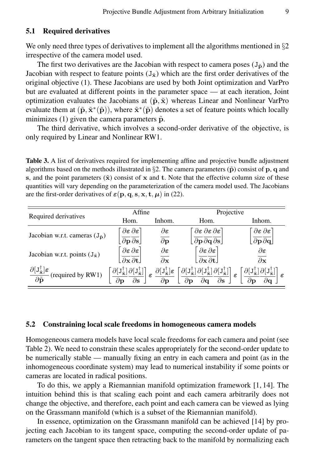#### 5.1 Required derivatives

We only need three types of derivatives to implement all the algorithms mentioned in §2 irrespective of the camera model used.

The first two derivatives are the Jacobian with respect to camera poses  $(J_{\tilde{p}})$  and the Jacobian with respect to feature points  $(J_{\tilde{x}})$  which are the first order derivatives of the original objective (1). These Jacobians are used by both Joint optimization and VarPro but are evaluated at different points in the parameter space — at each iteration, Joint optimization evaluates the Jacobians at  $(\tilde{p}, \tilde{x})$  whereas Linear and Nonlinear VarPro evaluate them at  $(\tilde{\bf p}, \tilde{\bf x}^*(\tilde{\bf p}))$ , where  $\tilde{\bf x}^*(\tilde{\bf p})$  denotes a set of feature points which locally minimizes (1) given the camera parameters  $\tilde{p}$ .

The third derivative, which involves a second-order derivative of the objective, is only required by Linear and Nonlinear RW1.

Table 3. A list of derivatives required for implementing affine and projective bundle adjustment algorithms based on the methods illustrated in §2. The camera parameters ( $\tilde{p}$ ) consist of p, q and s, and the point parameters  $(\tilde{\mathbf{x}})$  consist of x and t. Note that the effective column size of these quantities will vary depending on the parameterization of the camera model used. The Jacobians are the first-order derivatives of  $\varepsilon(\mathbf{p}, \mathbf{q}, \mathbf{s}, \mathbf{x}, \mathbf{t}, \boldsymbol{\mu})$  in (22).

|                                                                                               | Affine                                                                                                                          |                                                                                                       | Projective                                                                                                                                                                                       |                                                                            |  |
|-----------------------------------------------------------------------------------------------|---------------------------------------------------------------------------------------------------------------------------------|-------------------------------------------------------------------------------------------------------|--------------------------------------------------------------------------------------------------------------------------------------------------------------------------------------------------|----------------------------------------------------------------------------|--|
| Required derivatives                                                                          | Hom.                                                                                                                            | Inhom.                                                                                                | Hom.                                                                                                                                                                                             | Inhom.                                                                     |  |
| Jacobian w.r.t. cameras $(J_{\tilde{p}})$                                                     | $\partial \boldsymbol{\varepsilon} \, \partial \boldsymbol{\varepsilon}$                                                        | $\partial \boldsymbol{\varepsilon}$                                                                   | $\partial \varepsilon \, \partial \varepsilon \, \partial \varepsilon$ )                                                                                                                         | $\partial \boldsymbol{\varepsilon} \, \partial \boldsymbol{\varepsilon}$ ) |  |
|                                                                                               | $\left[\overline{\partial \mathbf{p}} \overline{\partial \mathbf{s}}\right]$                                                    | $\partial \mathbf{p}$                                                                                 | $\partial \mathbf{p} \, \partial \mathbf{q} \, \partial \mathbf{s}$                                                                                                                              | $\partial {\bf p} \partial {\bf q}$                                        |  |
| Jacobian w.r.t. points $(J_{\tilde{x}})$                                                      | $\partial \varepsilon \partial \varepsilon$<br>$\partial \mathbf{x} \partial \mathbf{t}$                                        | $\partial \boldsymbol{\varepsilon}$<br>$\partial$ x                                                   | $\partial \varepsilon \partial \varepsilon$<br>$\overline{\partial x} \overline{\partial t}$                                                                                                     | $\partial \boldsymbol{\varepsilon}$<br>$\partial$ x                        |  |
| $\frac{\partial [J_{\tilde{x}}^{\dagger}] \varepsilon}{\partial \tilde{p}}$ (required by RW1) | $\partial[\mathtt{J}^\dagger_{\tilde{\mathbf{x}}}]\,\partial[\mathtt{J}^\dagger_{\tilde{\mathbf{x}}}]\big]$<br>$\epsilon$<br>дs | $\partial[\mathtt{J}^\dagger_{\tilde{\mathbf{x}}}] \boldsymbol{\varepsilon}$<br>$\partial \mathbf{n}$ | $\big[\partial[\mathtt{J}^\dagger_{\tilde{\mathbf{x}}}] \partial[\mathtt{J}^\dagger_{\tilde{\mathbf{x}}}] \partial[\mathtt{J}^\dagger_{\tilde{\mathbf{x}}}] \big]$<br>$\epsilon$<br>$\partial$ s |                                                                            |  |

#### 5.2 Constraining local scale freedoms in homogeneous camera models

Homogeneous camera models have local scale freedoms for each camera and point (see Table 2). We need to constrain these scales appropriately for the second-order update to be numerically stable — manually fixing an entry in each camera and point (as in the inhomogeneous coordinate system) may lead to numerical instability if some points or cameras are located in radical positions.

To do this, we apply a Riemannian manifold optimization framework [1, 14]. The intuition behind this is that scaling each point and each camera arbitrarily does not change the objective, and therefore, each point and each camera can be viewed as lying on the Grassmann manifold (which is a subset of the Riemannian manifold).

In essence, optimization on the Grassmann manifold can be achieved [14] by projecting each Jacobian to its tangent space, computing the second-order update of parameters on the tangent space then retracting back to the manifold by normalizing each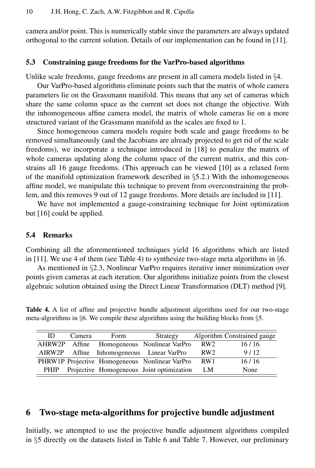camera and/or point. This is numerically stable since the parameters are always updated orthogonal to the current solution. Details of our implementation can be found in [11].

#### 5.3 Constraining gauge freedoms for the VarPro-based algorithms

Unlike scale freedoms, gauge freedoms are present in all camera models listed in §4.

Our VarPro-based algorithms eliminate points such that the matrix of whole camera parameters lie on the Grassmann manifold. This means that any set of cameras which share the same column space as the current set does not change the objective. With the inhomogeneous affine camera model, the matrix of whole cameras lie on a more structured variant of the Grassmann manifold as the scales are fixed to 1.

Since homogeneous camera models require both scale and gauge freedoms to be removed simultaneously (and the Jacobians are already projected to get rid of the scale freedoms), we incorporate a technique introduced in [18] to penalize the matrix of whole cameras updating along the column space of the current matrix, and this constrains all 16 gauge freedoms. (This approach can be viewed [10] as a relaxed form of the manifold optimization framework described in  $\S$ 5.2.) With the inhomogeneous affine model, we manipulate this technique to prevent from overconstraining the problem, and this removes 9 out of 12 gauge freedoms. More details are included in [11].

We have not implemented a gauge-constraining technique for Joint optimization but [16] could be applied.

#### 5.4 Remarks

Combining all the aforementioned techniques yield 16 algorithms which are listed in [11]. We use 4 of them (see Table 4) to synthesize two-stage meta algorithms in  $\S6$ .

As mentioned in §2.3, Nonlinear VarPro requires iterative inner minimization over points given cameras at each iteration. Our algorithms initialize points from the closest algebraic solution obtained using the Direct Linear Transformation (DLT) method [9].

Table 4. A list of affine and projective bundle adjustment algorithms used for our two-stage meta-algorithms in §6. We compile these algorithms using the building blocks from §5.

| ID.         | Camera | <b>Form</b> | Strategy                                       |                 | Algorithm Constrained gauge |
|-------------|--------|-------------|------------------------------------------------|-----------------|-----------------------------|
|             |        |             | AHRW2P Affine Homogeneous Nonlinear VarPro     | RW <sub>2</sub> | 16/16                       |
|             |        |             | AIRW2P Affine Inhomogeneous Linear VarPro      | RW <sub>2</sub> | 9/12                        |
|             |        |             | PHRW1P Projective Homogeneous Nonlinear VarPro | RW1             | 16/16                       |
| <b>PHIP</b> |        |             | Projective Homogeneous Joint optimization      | - LM            | None                        |

# 6 Two-stage meta-algorithms for projective bundle adjustment

Initially, we attempted to use the projective bundle adjustment algorithms compiled in §5 directly on the datasets listed in Table 6 and Table 7. However, our preliminary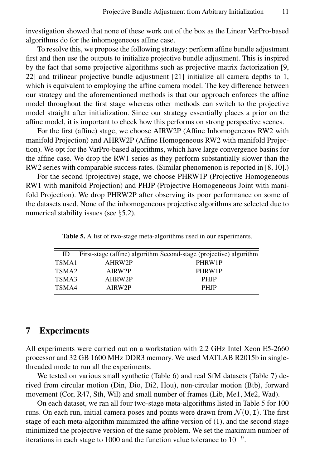investigation showed that none of these work out of the box as the Linear VarPro-based algorithms do for the inhomogeneous affine case.

To resolve this, we propose the following strategy: perform affine bundle adjustment first and then use the outputs to initialize projective bundle adjustment. This is inspired by the fact that some projective algorithms such as projective matrix factorization [9, 22] and trilinear projective bundle adjustment [21] initialize all camera depths to 1, which is equivalent to employing the affine camera model. The key difference between our strategy and the aforementioned methods is that our approach enforces the affine model throughout the first stage whereas other methods can switch to the projective model straight after initialization. Since our strategy essentially places a prior on the affine model, it is important to check how this performs on strong perspective scenes.

For the first (affine) stage, we choose AIRW2P (Affine Inhomogeneous RW2 with manifold Projection) and AHRW2P (Affine Homogeneous RW2 with manifold Projection). We opt for the VarPro-based algorithms, which have large convergence basins for the affine case. We drop the RW1 series as they perform substantially slower than the RW2 series with comparable success rates. (Similar phenomenon is reported in [8, 10].)

For the second (projective) stage, we choose PHRW1P (Projective Homogeneous RW1 with manifold Projection) and PHJP (Projective Homogeneous Joint with manifold Projection). We drop PHRW2P after observing its poor performance on some of the datasets used. None of the inhomogeneous projective algorithms are selected due to numerical stability issues (see §5.2).

Table 5. A list of two-stage meta-algorithms used in our experiments.

| ID                |        | First-stage (affine) algorithm Second-stage (projective) algorithm |
|-------------------|--------|--------------------------------------------------------------------|
| TSMA1             | AHRW2P | PHRW1P                                                             |
| TSMA <sub>2</sub> | AIRW2P | PHRW1P                                                             |
| TSMA3             | AHRW2P | <b>PHIP</b>                                                        |
| TSMA4             | AIRW2P | <b>PHIP</b>                                                        |
|                   |        |                                                                    |

### 7 Experiments

All experiments were carried out on a workstation with 2.2 GHz Intel Xeon E5-2660 processor and 32 GB 1600 MHz DDR3 memory. We used MATLAB R2015b in singlethreaded mode to run all the experiments.

We tested on various small synthetic (Table 6) and real SfM datasets (Table 7) derived from circular motion (Din, Dio, Di2, Hou), non-circular motion (Btb), forward movement (Cor, R47, Sth, Wil) and small number of frames (Lib, Me1, Me2, Wad).

On each dataset, we ran all four two-stage meta-algorithms listed in Table 5 for 100 runs. On each run, initial camera poses and points were drawn from  $\mathcal{N}(\mathbf{0}, \mathbf{I})$ . The first stage of each meta-algorithm minimized the affine version of (1), and the second stage minimized the projective version of the same problem. We set the maximum number of iterations in each stage to 1000 and the function value tolerance to  $10^{-9}$ .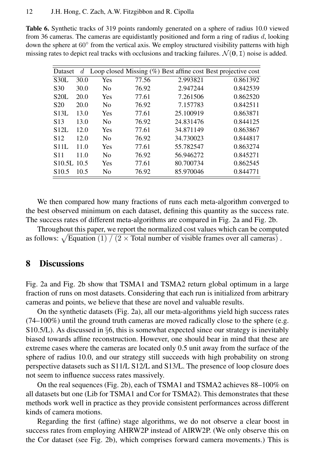Table 6. Synthetic tracks of 319 points randomly generated on a sphere of radius 10.0 viewed from 36 cameras. The cameras are equidistantly positioned and form a ring of radius d, looking down the sphere at 60° from the vertical axis. We employ structured visibility patterns with high missing rates to depict real tracks with occlusions and tracking failures.  $\mathcal{N}(\mathbf{0}, \mathbf{I})$  noise is added.

| Dataset             | d    |                |       |           | Loop closed Missing $(\%)$ Best affine cost Best projective cost |
|---------------------|------|----------------|-------|-----------|------------------------------------------------------------------|
| S <sub>30</sub> L   | 30.0 | Yes            | 77.56 | 2.993821  | 0.861392                                                         |
| S <sub>30</sub>     | 30.0 | No             | 76.92 | 2.947244  | 0.842539                                                         |
| S20L                | 20.0 | Yes            | 77.61 | 7.261506  | 0.862520                                                         |
| S <sub>20</sub>     | 20.0 | No             | 76.92 | 7.157783  | 0.842511                                                         |
| S <sub>13</sub> L   | 13.0 | <b>Yes</b>     | 77.61 | 25.100919 | 0.863871                                                         |
| S <sub>13</sub>     | 13.0 | N <sub>0</sub> | 76.92 | 24.831476 | 0.844125                                                         |
| S <sub>12L</sub>    | 12.0 | Yes            | 77.61 | 34.871149 | 0.863867                                                         |
| S <sub>12</sub>     | 12.0 | No             | 76.92 | 34.730023 | 0.844817                                                         |
| S11L                | 11.0 | Yes            | 77.61 | 55.782547 | 0.863274                                                         |
| S11                 | 11.0 | No             | 76.92 | 56.946272 | 0.845271                                                         |
| S <sub>10.5</sub> L | 10.5 | Yes            | 77.61 | 80.700734 | 0.862545                                                         |
| S <sub>10.5</sub>   | 10.5 | No             | 76.92 | 85.970046 | 0.844771                                                         |
|                     |      |                |       |           |                                                                  |

We then compared how many fractions of runs each meta-algorithm converged to the best observed minimum on each dataset, defining this quantity as the success rate. The success rates of different meta-algorithms are compared in Fig. 2a and Fig. 2b.

Throughout this paper, we report the normalized cost values which can be computed as follows:  $\sqrt{\text{Equation (1)}/(2 \times \text{Total number of visible frames over all cameras})}$ .

# 8 Discussions

Fig. 2a and Fig. 2b show that TSMA1 and TSMA2 return global optimum in a large fraction of runs on most datasets. Considering that each run is initialized from arbitrary cameras and points, we believe that these are novel and valuable results.

On the synthetic datasets (Fig. 2a), all our meta-algorithms yield high success rates (74–100%) until the ground truth cameras are moved radically close to the sphere (e.g. S10.5/L). As discussed in §6, this is somewhat expected since our strategy is inevitably biased towards affine reconstruction. However, one should bear in mind that these are extreme cases where the cameras are located only 0.5 unit away from the surface of the sphere of radius 10.0, and our strategy still succeeds with high probability on strong perspective datasets such as S11/L S12/L and S13/L. The presence of loop closure does not seem to influence success rates massively.

On the real sequences (Fig. 2b), each of TSMA1 and TSMA2 achieves 88–100% on all datasets but one (Lib for TSMA1 and Cor for TSMA2). This demonstrates that these methods work well in practice as they provide consistent performances across different kinds of camera motions.

Regarding the first (affine) stage algorithms, we do not observe a clear boost in success rates from employing AHRW2P instead of AIRW2P. (We only observe this on the Cor dataset (see Fig. 2b), which comprises forward camera movements.) This is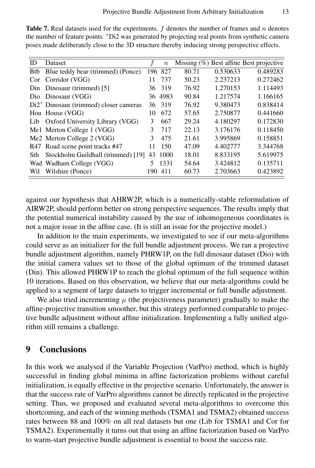| ID          | <b>Dataset</b>                                     |     | $\boldsymbol{n}$ |       |          | Missing $(\%)$ Best affine Best projective |
|-------------|----------------------------------------------------|-----|------------------|-------|----------|--------------------------------------------|
| <b>B</b> tb | Blue teddy bear (trimmed) (Ponce)                  | 196 | 827              | 80.71 | 0.530633 | 0.489283                                   |
| Cor         | Corridor (VGG)                                     | 11  | 737              | 50.23 | 2.237213 | 0.272462                                   |
|             | Din Dinosaur (trimmed) [5]                         | 36  | 319              | 76.92 | 1.270153 | 1.114493                                   |
|             | Dio Dinosaur (VGG)                                 |     | 36 4983          | 90.84 | 1.217574 | 1.166165                                   |
|             | Di <sup>2*</sup> Dinosaur (trimmed) closer cameras | 36  | 319              | 76.92 | 9.380473 | 0.838414                                   |
|             | Hou House (VGG)                                    | 10  | 672              | 57.65 | 2.750877 | 0.441660                                   |
| Lib         | Oxford University Library (VGG)                    | 3   | 667              | 29.24 | 4.180297 | 0.172830                                   |
|             | Me1 Merton College 1 (VGG)                         | 3   | 717              | 22.13 | 3.176176 | 0.118450                                   |
|             | Me2 Merton College 2 (VGG)                         | 3   | 475              | 21.61 | 3.995869 | 0.158851                                   |
|             | R47 Road scene point tracks #47                    | 11  | 150              | 47.09 | 4.402777 | 3.344768                                   |
| Sth         | Stockholm Guildhall (trimmed) [19]                 | 43  | 1000             | 18.01 | 8.833195 | 5.619975                                   |
|             | Wad Wadham College (VGG)                           | 5   | 1331             | 54.64 | 3.424812 | 0.135711                                   |
| Wil         | Wilshire (Ponce)                                   | 190 | 411              | 60.73 | 2.703663 | 0.423892                                   |

**Table 7.** Real datasets used for the experiments.  $f$  denotes the number of frames and  $n$  denotes the number of feature points. <sup>∗</sup>Di2 was generated by projecting real points from synthetic camera poses made deliberately close to the 3D structure thereby inducing strong perspective effects.

against our hypothesis that AHRW2P, which is a numerically-stable reformulation of AIRW2P, should perform better on strong perspective sequences. The results imply that the potential numerical instability caused by the use of inhomogeneous coordinates is not a major issue in the affine case. (It is still an issue for the projective model.)

In addition to the main experiments, we investigated to see if our meta-algorithms could serve as an initializer for the full bundle adjustment process. We ran a projective bundle adjustment algorithm, namely PHRW1P, on the full dinosaur dataset (Dio) with the initial camera values set to those of the global optimum of the trimmed dataset (Din). This allowed PHRW1P to reach the global optimum of the full sequence within 10 iterations. Based on this observation, we believe that our meta-algorithms could be applied to a segment of large datasets to trigger incremental or full bundle adjustment.

We also tried incrementing  $\mu$  (the projectiveness parameter) gradually to make the affine-projective transition smoother, but this strategy performed comparable to projective bundle adjustment without affine initialization. Implementing a fully unified algorithm still remains a challenge.

# 9 Conclusions

In this work we analysed if the Variable Projection (VarPro) method, which is highly successful in finding global minima in affine factorization problems without careful initialization, is equally effective in the projective scenario. Unfortunately, the answer is that the success rate of VarPro algorithms cannot be directly replicated in the projective setting. Thus, we proposed and evaluated several meta-algorithms to overcome this shortcoming, and each of the winning methods (TSMA1 and TSMA2) obtained success rates between 88 and 100% on all real datasets but one (Lib for TSMA1 and Cor for TSMA2). Experimentally it turns out that using an affine factorization based on VarPro to warm-start projective bundle adjustment is essential to boost the success rate.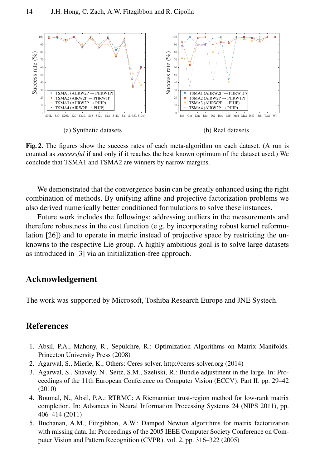

Fig. 2. The figures show the success rates of each meta-algorithm on each dataset. (A run is counted as *successful* if and only if it reaches the best known optimum of the dataset used.) We conclude that TSMA1 and TSMA2 are winners by narrow margins.

We demonstrated that the convergence basin can be greatly enhanced using the right combination of methods. By unifying affine and projective factorization problems we also derived numerically better conditioned formulations to solve these instances.

Future work includes the followings: addressing outliers in the measurements and therefore robustness in the cost function (e.g. by incorporating robust kernel reformulation [26]) and to operate in metric instead of projective space by restricting the unknowns to the respective Lie group. A highly ambitious goal is to solve large datasets as introduced in [3] via an initialization-free approach.

# Acknowledgement

The work was supported by Microsoft, Toshiba Research Europe and JNE Systech.

# **References**

- 1. Absil, P.A., Mahony, R., Sepulchre, R.: Optimization Algorithms on Matrix Manifolds. Princeton University Press (2008)
- 2. Agarwal, S., Mierle, K., Others: Ceres solver. http://ceres-solver.org (2014)
- 3. Agarwal, S., Snavely, N., Seitz, S.M., Szeliski, R.: Bundle adjustment in the large. In: Proceedings of the 11th European Conference on Computer Vision (ECCV): Part II. pp. 29–42 (2010)
- 4. Boumal, N., Absil, P.A.: RTRMC: A Riemannian trust-region method for low-rank matrix completion. In: Advances in Neural Information Processing Systems 24 (NIPS 2011), pp. 406–414 (2011)
- 5. Buchanan, A.M., Fitzgibbon, A.W.: Damped Newton algorithms for matrix factorization with missing data. In: Proceedings of the 2005 IEEE Computer Society Conference on Computer Vision and Pattern Recognition (CVPR). vol. 2, pp. 316–322 (2005)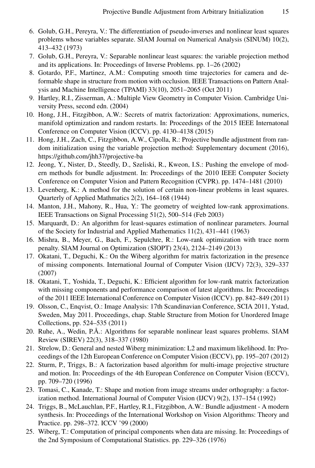- 6. Golub, G.H., Pereyra, V.: The differentiation of pseudo-inverses and nonlinear least squares problems whose variables separate. SIAM Journal on Numerical Analysis (SINUM) 10(2), 413–432 (1973)
- 7. Golub, G.H., Pereyra, V.: Separable nonlinear least squares: the variable projection method and its applications. In: Proceedings of Inverse Problems. pp. 1–26 (2002)
- 8. Gotardo, P.F., Martinez, A.M.: Computing smooth time trajectories for camera and deformable shape in structure from motion with occlusion. IEEE Transactions on Pattern Analysis and Machine Intelligence (TPAMI) 33(10), 2051–2065 (Oct 2011)
- 9. Hartley, R.I., Zisserman, A.: Multiple View Geometry in Computer Vision. Cambridge University Press, second edn. (2004)
- 10. Hong, J.H., Fitzgibbon, A.W.: Secrets of matrix factorization: Approximations, numerics, manifold optimization and random restarts. In: Proceedings of the 2015 IEEE Internatonal Conference on Computer Vision (ICCV). pp. 4130–4138 (2015)
- 11. Hong, J.H., Zach, C., Fitzgibbon, A.W., Cipolla, R.: Projective bundle adjustment from random initialization using the variable projection method: Supplementary document (2016), https://github.com/jhh37/projective-ba
- 12. Jeong, Y., Nister, D., Steedly, D., Szeliski, R., Kweon, I.S.: Pushing the envelope of modern methods for bundle adjustment. In: Proceedings of the 2010 IEEE Computer Society Conference on Computer Vision and Pattern Recognition (CVPR). pp. 1474–1481 (2010)
- 13. Levenberg, K.: A method for the solution of certain non-linear problems in least squares. Quarterly of Applied Mathmatics 2(2), 164–168 (1944)
- 14. Manton, J.H., Mahony, R., Hua, Y.: The geometry of weighted low-rank approximations. IEEE Transactions on Signal Processing 51(2), 500–514 (Feb 2003)
- 15. Marquardt, D.: An algorithm for least-squares estimation of nonlinear parameters. Journal of the Society for Industrial and Applied Mathematics 11(2), 431–441 (1963)
- 16. Mishra, B., Meyer, G., Bach, F., Sepulchre, R.: Low-rank optimization with trace norm penalty. SIAM Journal on Optimization (SIOPT) 23(4), 2124–2149 (2013)
- 17. Okatani, T., Deguchi, K.: On the Wiberg algorithm for matrix factorization in the presence of missing components. International Journal of Computer Vision (IJCV) 72(3), 329–337 (2007)
- 18. Okatani, T., Yoshida, T., Deguchi, K.: Efficient algorithm for low-rank matrix factorization with missing components and performance comparison of latest algorithms. In: Proceedings of the 2011 IEEE International Conference on Computer Vision (ICCV). pp. 842–849 (2011)
- 19. Olsson, C., Enqvist, O.: Image Analysis: 17th Scandinavian Conference, SCIA 2011, Ystad, Sweden, May 2011. Proceedings, chap. Stable Structure from Motion for Unordered Image Collections, pp. 524–535 (2011)
- 20. Ruhe, A., Wedin, P.Å.: Algorithms for separable nonlinear least squares problems. SIAM Review (SIREV) 22(3), 318–337 (1980)
- 21. Strelow, D.: General and nested Wiberg minimization: L2 and maximum likelihood. In: Proceedings of the 12th European Conference on Computer Vision (ECCV), pp. 195–207 (2012)
- 22. Sturm, P., Triggs, B.: A factorization based algorithm for multi-image projective structure and motion. In: Proceedings of the 4th European Conference on Computer Vision (ECCV), pp. 709–720 (1996)
- 23. Tomasi, C., Kanade, T.: Shape and motion from image streams under orthography: a factorization method. International Journal of Computer Vision (IJCV) 9(2), 137–154 (1992)
- 24. Triggs, B., McLauchlan, P.F., Hartley, R.I., Fitzgibbon, A.W.: Bundle adjustment A modern synthesis. In: Proceedings of the International Workshop on Vision Algorithms: Theory and Practice. pp. 298–372. ICCV '99 (2000)
- 25. Wiberg, T.: Computation of principal components when data are missing. In: Proceedings of the 2nd Symposium of Computational Statistics. pp. 229–326 (1976)